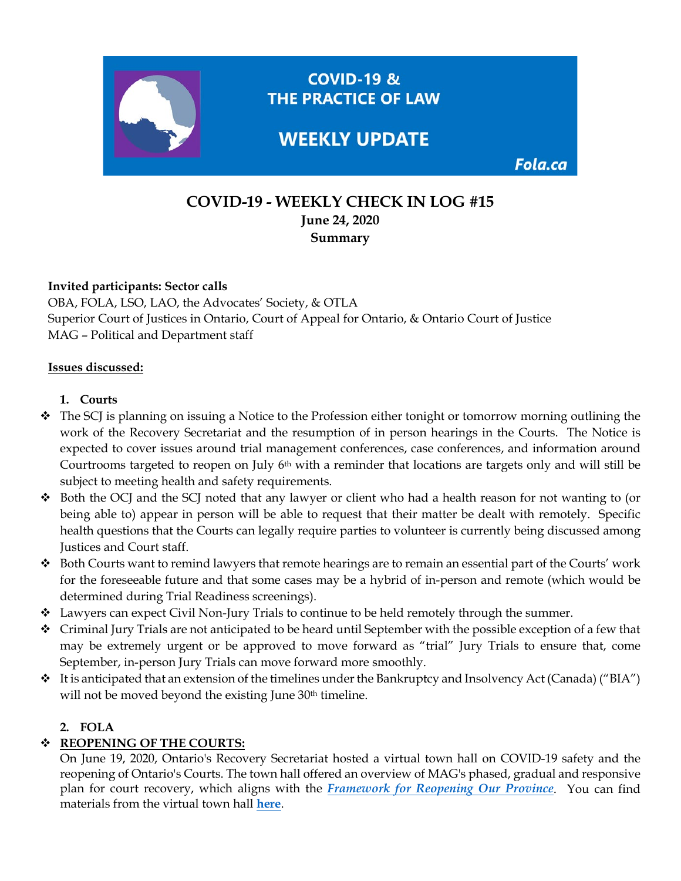

# **COVID-19 - WEEKLY CHECK IN LOG #15 June 24, 2020 Summary**

#### **Invited participants: Sector calls**

OBA, FOLA, LSO, LAO, the Advocates' Society, & OTLA Superior Court of Justices in Ontario, Court of Appeal for Ontario, & Ontario Court of Justice MAG – Political and Department staff

#### **Issues discussed:**

#### **1. Courts**

- The SCJ is planning on issuing a Notice to the Profession either tonight or tomorrow morning outlining the work of the Recovery Secretariat and the resumption of in person hearings in the Courts. The Notice is expected to cover issues around trial management conferences, case conferences, and information around Courtrooms targeted to reopen on July 6<sup>th</sup> with a reminder that locations are targets only and will still be subject to meeting health and safety requirements.
- $\div$  Both the OCJ and the SCJ noted that any lawyer or client who had a health reason for not wanting to (or being able to) appear in person will be able to request that their matter be dealt with remotely. Specific health questions that the Courts can legally require parties to volunteer is currently being discussed among Justices and Court staff.
- $\bullet$  Both Courts want to remind lawyers that remote hearings are to remain an essential part of the Courts' work for the foreseeable future and that some cases may be a hybrid of in-person and remote (which would be determined during Trial Readiness screenings).
- \* Lawyers can expect Civil Non-Jury Trials to continue to be held remotely through the summer.
- Criminal Jury Trials are not anticipated to be heard until September with the possible exception of a few that may be extremely urgent or be approved to move forward as "trial" Jury Trials to ensure that, come September, in-person Jury Trials can move forward more smoothly.
- It is anticipated that an extension of the timelines under the Bankruptcy and Insolvency Act (Canada) ("BIA") will not be moved beyond the existing June 30<sup>th</sup> timeline.

#### **2. FOLA**

## **REOPENING OF THE COURTS:**

On June 19, 2020, Ontario's Recovery Secretariat hosted a virtual town hall on COVID-19 safety and the reopening of Ontario's Courts. The town hall offered an overview of MAG's phased, gradual and responsive plan for court recovery, which aligns with the *[Framework for Reopening Our Province](https://www.ontario.ca/page/framework-reopening-our-province)*. You can find materials from the virtual town hall **[here](https://fola.ca/courts)**.